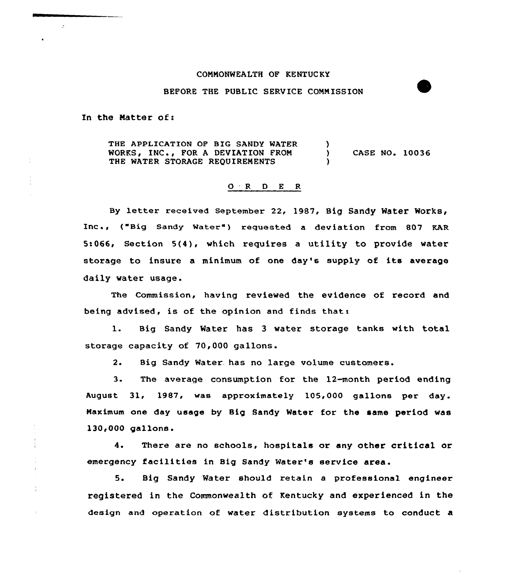## CONNONWEALTH OF KENTUCKY

## BEFORE THE PUBLIC SERVICE CONNISSION

In the Natter of:

 $\mathbf{r}$ 

÷

THE APPLICATION OP BIG SANDY WATER WORKS, INC., FOR A DEVIATION FROM THE WATER STORAGE REQUIREMENTS )<br>) CASE NO. 10036 )

## 0 <sup>R</sup> <sup>D</sup> E <sup>R</sup>

By letter received September 22, 1987, Big Sandy Water WOrkS, Inc., ("Big Sandy Water") requested a deviation from 807 KAR 5:066, Section 5(4), which requires a utility to provide water storage to insure <sup>a</sup> minimum of one day's supply of its average daily water usage.

The Commission, having reviewed the evidence of record and being advised, is of the opinion and finds that:

1. Big Sandy Water has <sup>3</sup> water storage tanks with total storage capacity of 70,000 gallons.

2. Big Sandy Water. has no large volume customers.

3. The average consumption for the 12-month period ending August 31, 1987, was approximately 105,000 gallons per day. Naximum one day usage by Big Sandy Meter for the same period was 130<000 gallons.

4. There are no schools, hospitals or any other critical or emergency facilities in Big Sandy Water's service area.

5. Big Sandy Water should retain a professional engineer registered in the Commonwealth of Kentucky and experienced in the design and operation of water distribution systems to conduct a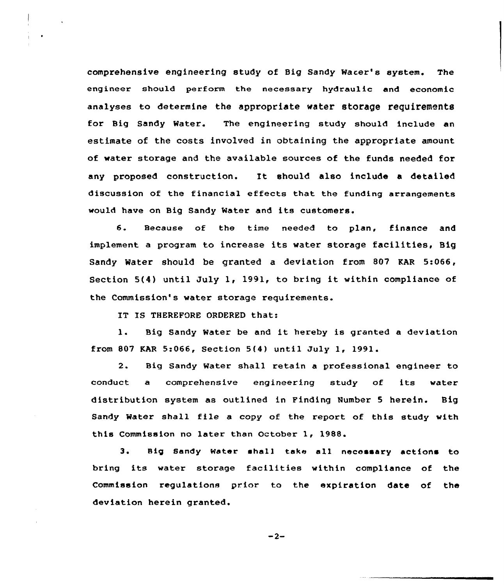comprehensive engineering study of Big Sandy Wacer's system. The engineer should perform the necessary hydraulic and economic analyses to determine the appropriate water storage requirements for Big Sandy Water. The engineering study should include an estimate of the costs involved in obtaining the appropriate amount of water storage and the available sources cf the funds needed for any proposed construction. It should also include <sup>a</sup> detailed discussion of the financial effects that the funding arrangements would have on Big Sandy Water and its customers.

6. Because of the time needed to plan, finance and implement <sup>a</sup> program to increase its water storage facilities, Big Sandy Water should be granted a deviation from 807 KAR 5:066, Section 5(4) until July 1, 1991, to bring it within compliance of the Commission's water storage requirements.

IT IS THEREFORE ORDERED that:

1. Big Sandy Water be and it hereby is granted <sup>a</sup> deviation from 807 KAR 5:066, Section 5(4} until July 1, 1991.

2. Big Sandy Water shall retain a professional engineer to conduct a comprehensive engineering study of its water distribution system as outlined in Finding Number 5 herein. Big Sandy Water shall file a copy of the report of this study with this Commission no later than October 1, 1988.

3. Big Sandy Water shall take all necessary actions to bring its water storage facilities within compliance of the Commission regulations prior to the expiration date of the deviation herein granted.

 $-2-$